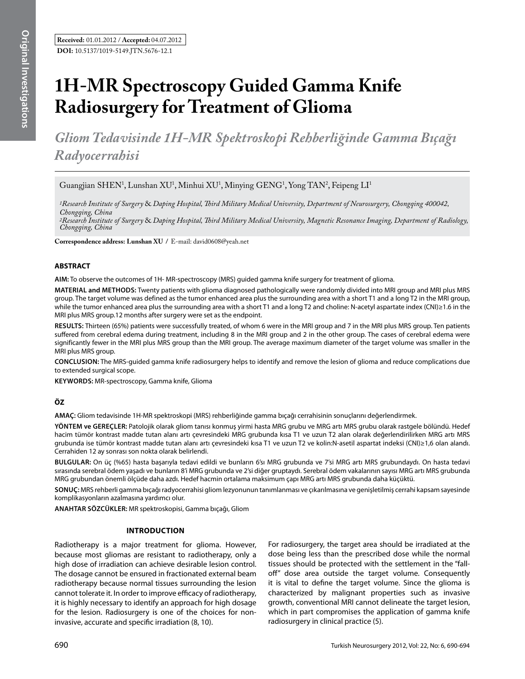# **1H-MR Spectroscopy Guided Gamma Knife Radiosurgery for Treatment of Glioma**

*Gliom Tedavisinde 1H-MR Spektroskopi Rehberliğinde Gamma Bıçağı Radyocerrahisi* 

Guangjian SHEN<sup>1</sup>, Lunshan XU<sup>1</sup>, Minhui XU<sup>1</sup>, Minying GENG<sup>1</sup>, Yong TAN<sup>2</sup>, Feipeng LI<sup>1</sup>

*1Research Institute of Surgery* & *Daping Hospital, Third Military Medical University, Department of Neurosurgery, Chongqing 400042, Chongqing, China*

*2Research Institute of Surgery* & *Daping Hospital, Third Military Medical University, Magnetic Resonance Imaging, Department of Radiology, Chongqing, China*

**Correspondence address: Lunshan Xu /** E-mail: david0608@yeah.net

## **ABSTRACT**

**AIm:** To observe the outcomes of 1H- MR-spectroscopy (MRS) guided gamma knife surgery for treatment of glioma.

**MaterIal and Methods:** Twenty patients with glioma diagnosed pathologically were randomly divided into MRI group and MRI plus MRS group. The target volume was defined as the tumor enhanced area plus the surrounding area with a short T1 and a long T2 in the MRI group, while the tumor enhanced area plus the surrounding area with a short T1 and a long T2 and choline: N-acetyl aspartate index (CNI)≥1.6 in the MRI plus MRS group.12 months after surgery were set as the endpoint.

**Results:** Thirteen (65%) patients were successfully treated, of whom 6 were in the MRI group and 7 in the MRI plus MRS group. Ten patients suffered from cerebral edema during treatment, including 8 in the MRI group and 2 in the other group. The cases of cerebral edema were significantly fewer in the MRI plus MRS group than the MRI group. The average maximum diameter of the target volume was smaller in the MRI plus MRS group.

**ConclusIon:** The MRS-guided gamma knife radiosurgery helps to identify and remove the lesion of glioma and reduce complications due to extended surgical scope.

**Keywords:** MR-spectroscopy, Gamma knife, Glioma

# **ÖZ**

**AMAÇ:** Gliom tedavisinde 1H-MR spektroskopi (MRS) rehberliğinde gamma bıçağı cerrahisinin sonuçlarını değerlendirmek.

**YÖNTEM ve GEREÇLER:** Patolojik olarak gliom tanısı konmuş yirmi hasta MRG grubu ve MRG artı MRS grubu olarak rastgele bölündü. Hedef hacim tümör kontrast madde tutan alanı artı çevresindeki MRG grubunda kısa T1 ve uzun T2 alan olarak değerlendirilirken MRG artı MRS grubunda ise tümör kontrast madde tutan alanı artı çevresindeki kısa T1 ve uzun T2 ve kolin:N-asetil aspartat indeksi (CNI)≥1,6 olan alandı. Cerrahiden 12 ay sonrası son nokta olarak belirlendi.

**BULGULAR:** On üç (%65) hasta başarıyla tedavi edildi ve bunların 6'sı MRG grubunda ve 7'si MRG artı MRS grubundaydı. On hasta tedavi sırasında serebral ödem yaşadı ve bunların 8'i MRG grubunda ve 2'si diğer gruptaydı. Serebral ödem vakalarının sayısı MRG artı MRS grubunda MRG grubundan önemli ölçüde daha azdı. Hedef hacmin ortalama maksimum çapı MRG artı MRS grubunda daha küçüktü.

**SONUÇ:** MRS rehberli gamma bıçağı radyocerrahisi gliom lezyonunun tanımlanması ve çıkarılmasına ve genişletilmiş cerrahi kapsam sayesinde komplikasyonların azalmasına yardımcı olur.

**ANAHTAR SÖZCÜKLER:** MR spektroskopisi, Gamma bıçağı, Gliom

## **Introduction**

Radiotherapy is a major treatment for glioma. However, because most gliomas are resistant to radiotherapy, only a high dose of irradiation can achieve desirable lesion control. The dosage cannot be ensured in fractionated external beam radiotherapy because normal tissues surrounding the lesion cannot tolerate it. In order to improve efficacy of radiotherapy, it is highly necessary to identify an approach for high dosage for the lesion. Radiosurgery is one of the choices for noninvasive, accurate and specific irradiation (8, 10).

For radiosurgery, the target area should be irradiated at the dose being less than the prescribed dose while the normal tissues should be protected with the settlement in the "falloff" dose area outside the target volume. Consequently it is vital to define the target volume. Since the glioma is characterized by malignant properties such as invasive growth, conventional MRI cannot delineate the target lesion, which in part compromises the application of gamma knife radiosurgery in clinical practice (5).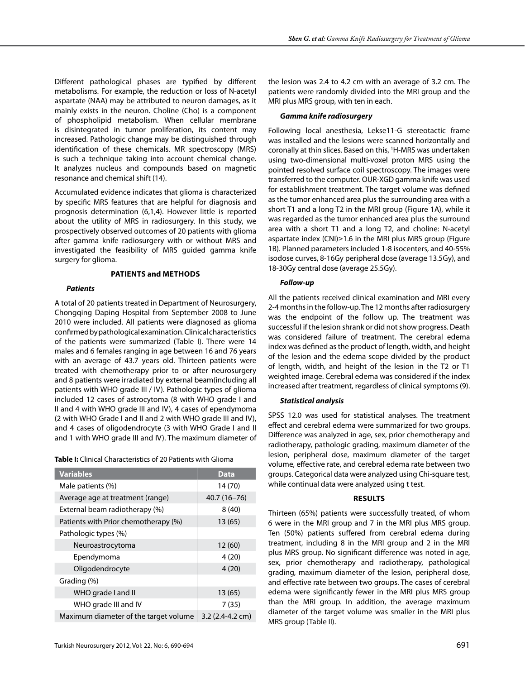Different pathological phases are typified by different metabolisms. For example, the reduction or loss of N-acetyl aspartate (NAA) may be attributed to neuron damages, as it mainly exists in the neuron. Choline (Cho) is a component of phospholipid metabolism. When cellular membrane is disintegrated in tumor proliferation, its content may increased. Pathologic change may be distinguished through identification of these chemicals. MR spectroscopy (MRS) is such a technique taking into account chemical change. It analyzes nucleus and compounds based on magnetic resonance and chemical shift (14).

Accumulated evidence indicates that glioma is characterized by specific MRS features that are helpful for diagnosis and prognosis determination (6,1,4). However little is reported about the utility of MRS in radiosurgery. In this study, we prospectively observed outcomes of 20 patients with glioma after gamma knife radiosurgery with or without MRS and investigated the feasibility of MRS guided gamma knife surgery for glioma.

# **Patients and methods**

#### *Patients*

A total of 20 patients treated in Department of Neurosurgery, Chongqing Daping Hospital from September 2008 to June 2010 were included. All patients were diagnosed as glioma confirmed by pathological examination. Clinical characteristics of the patients were summarized (Table I). There were 14 males and 6 females ranging in age between 16 and 76 years with an average of 43.7 years old. Thirteen patients were treated with chemotherapy prior to or after neurosurgery and 8 patients were irradiated by external beam(including all patients with WHO grade III / IV). Pathologic types of glioma included 12 cases of astrocytoma (8 with WHO grade I and II and 4 with WHO grade III and IV), 4 cases of ependymoma (2 with WHO Grade I and II and 2 with WHO grade III and IV), and 4 cases of oligodendrocyte (3 with WHO Grade I and II and 1 with WHO grade III and IV). The maximum diameter of

**Table I:** Clinical Characteristics of 20 Patients with Glioma

| <b>Variables</b>                      | Data                      |
|---------------------------------------|---------------------------|
| Male patients (%)                     | 14 (70)                   |
| Average age at treatment (range)      | $40.7(16 - 76)$           |
| External beam radiotherapy (%)        | 8(40)                     |
| Patients with Prior chemotherapy (%)  | 13 (65)                   |
| Pathologic types (%)                  |                           |
| Neuroastrocytoma                      | 12 (60)                   |
| Ependymoma                            | 4(20)                     |
| Oligodendrocyte                       | 4(20)                     |
| Grading (%)                           |                           |
| WHO grade I and II                    | 13 (65)                   |
| WHO grade III and IV                  | 7(35)                     |
| Maximum diameter of the target volume | $3.2(2.4-4.2 \text{ cm})$ |

the lesion was 2.4 to 4.2 cm with an average of 3.2 cm. The patients were randomly divided into the MRI group and the MRI plus MRS group, with ten in each.

#### *Gamma knife radiosurgery*

Following local anesthesia, Lekse11-G stereotactic frame was installed and the lesions were scanned horizontally and coronally at thin slices. Based on this, 1 H-MRS was undertaken using two-dimensional multi-voxel proton MRS using the pointed resolved surface coil spectroscopy. The images were transferred to the computer. OUR-XGD gamma knife was used for establishment treatment. The target volume was defined as the tumor enhanced area plus the surrounding area with a short T1 and a long T2 in the MRI group (Figure 1A), while it was regarded as the tumor enhanced area plus the surround area with a short T1 and a long T2, and choline: N-acetyl aspartate index (CNI)≥1.6 in the MRI plus MRS group (Figure 1B). Planned parameters included 1-8 isocenters, and 40-55% isodose curves, 8-16Gy peripheral dose (average 13.5Gy), and 18-30Gy central dose (average 25.5Gy).

## *Follow-up*

All the patients received clinical examination and MRI every 2-4 months in the follow-up. The 12 months after radiosurgery was the endpoint of the follow up. The treatment was successful if the lesion shrank or did not show progress. Death was considered failure of treatment. The cerebral edema index was defined as the product of length, width, and height of the lesion and the edema scope divided by the product of length, width, and height of the lesion in the T2 or T1 weighted image. Cerebral edema was considered if the index increased after treatment, regardless of clinical symptoms (9).

#### *Statistical analysis*

SPSS 12.0 was used for statistical analyses. The treatment effect and cerebral edema were summarized for two groups. Difference was analyzed in age, sex, prior chemotherapy and radiotherapy, pathologic grading, maximum diameter of the lesion, peripheral dose, maximum diameter of the target volume, effective rate, and cerebral edema rate between two groups. Categorical data were analyzed using Chi-square test, while continual data were analyzed using t test.

#### **Results**

Thirteen (65%) patients were successfully treated, of whom 6 were in the MRI group and 7 in the MRI plus MRS group. Ten (50%) patients suffered from cerebral edema during treatment, including 8 in the MRI group and 2 in the MRI plus MRS group. No significant difference was noted in age, sex, prior chemotherapy and radiotherapy, pathological grading, maximum diameter of the lesion, peripheral dose, and effective rate between two groups. The cases of cerebral edema were significantly fewer in the MRI plus MRS group than the MRI group. In addition, the average maximum diameter of the target volume was smaller in the MRI plus MRS group (Table II).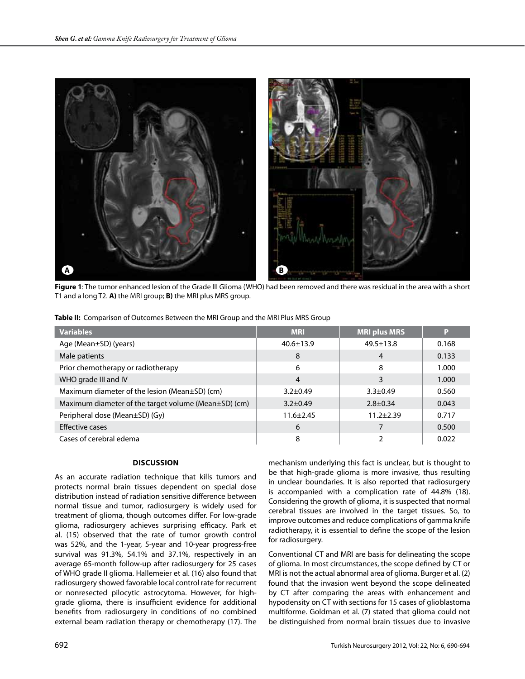

**Figure 1**: The tumor enhanced lesion of the Grade III Glioma (WHO) had been removed and there was residual in the area with a short T1 and a long T2. **A)** the MRI group; **B)** the MRI plus MRS group.

**Table II:** Comparison of Outcomes Between the MRI Group and the MRI Plus MRS Group

| <b>Variables</b>                                     | <b>MRI</b>      | <b>MRI plus MRS</b> | P     |
|------------------------------------------------------|-----------------|---------------------|-------|
| Age (Mean±SD) (years)                                | $40.6 \pm 13.9$ | $49.5 \pm 13.8$     | 0.168 |
| Male patients                                        | 8               | $\overline{4}$      | 0.133 |
| Prior chemotherapy or radiotherapy                   | 6               | 8                   | 1.000 |
| WHO grade III and IV                                 | 4               | 3                   | 1.000 |
| Maximum diameter of the lesion (Mean $\pm$ SD) (cm)  | $3.2 \pm 0.49$  | $3.3 \pm 0.49$      | 0.560 |
| Maximum diameter of the target volume (Mean±SD) (cm) | $3.2 + 0.49$    | $2.8 \pm 0.34$      | 0.043 |
| Peripheral dose (Mean±SD) (Gy)                       | $11.6 \pm 2.45$ | $11.2 + 2.39$       | 0.717 |
| Effective cases                                      | 6               | 7                   | 0.500 |
| Cases of cerebral edema                              | 8               |                     | 0.022 |

## **Discussion**

As an accurate radiation technique that kills tumors and protects normal brain tissues dependent on special dose distribution instead of radiation sensitive difference between normal tissue and tumor, radiosurgery is widely used for treatment of glioma, though outcomes differ. For low-grade glioma, radiosurgery achieves surprising efficacy. Park et al. (15) observed that the rate of tumor growth control was 52%, and the 1-year, 5-year and 10-year progress-free survival was 91.3%, 54.1% and 37.1%, respectively in an average 65-month follow-up after radiosurgery for 25 cases of WHO grade II glioma. Hallemeier et al. (16) also found that radiosurgery showed favorable local control rate for recurrent or nonresected pilocytic astrocytoma. However, for highgrade glioma, there is insufficient evidence for additional benefits from radiosurgery in conditions of no combined external beam radiation therapy or chemotherapy (17). The

mechanism underlying this fact is unclear, but is thought to be that high-grade glioma is more invasive, thus resulting in unclear boundaries. It is also reported that radiosurgery is accompanied with a complication rate of 44.8% (18). Considering the growth of glioma, it is suspected that normal cerebral tissues are involved in the target tissues. So, to improve outcomes and reduce complications of gamma knife radiotherapy, it is essential to define the scope of the lesion for radiosurgery.

Conventional CT and MRI are basis for delineating the scope of glioma. In most circumstances, the scope defined by CT or MRI is not the actual abnormal area of glioma. Burger et al. (2) found that the invasion went beyond the scope delineated by CT after comparing the areas with enhancement and hypodensity on CT with sections for 15 cases of glioblastoma multiforme. Goldman et al. (7) stated that glioma could not be distinguished from normal brain tissues due to invasive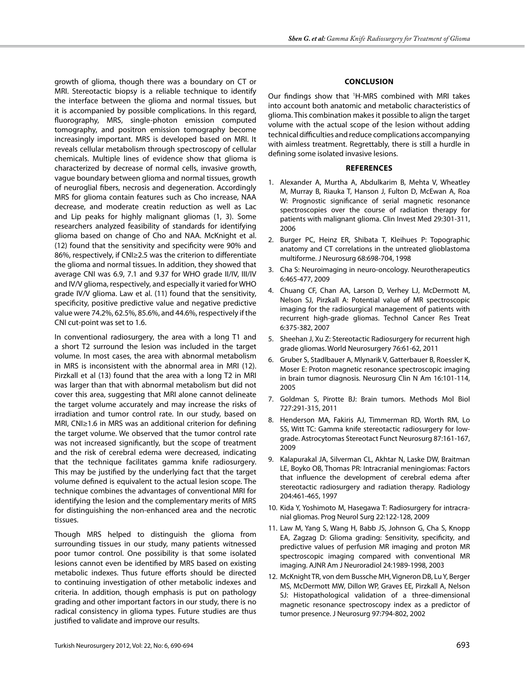growth of glioma, though there was a boundary on CT or MRI. Stereotactic biopsy is a reliable technique to identify the interface between the glioma and normal tissues, but it is accompanied by possible complications. In this regard, fluorography, MRS, single-photon emission computed tomography, and positron emission tomography become increasingly important. MRS is developed based on MRI. It reveals cellular metabolism through spectroscopy of cellular chemicals. Multiple lines of evidence show that glioma is characterized by decrease of normal cells, invasive growth, vague boundary between glioma and normal tissues, growth of neuroglial fibers, necrosis and degeneration. Accordingly MRS for glioma contain features such as Cho increase, NAA decrease, and moderate creatin reduction as well as Lac and Lip peaks for highly malignant gliomas (1, 3). Some researchers analyzed feasibility of standards for identifying glioma based on change of Cho and NAA. McKnight et al. (12) found that the sensitivity and specificity were 90% and 86%, respectively, if CNI≥2.5 was the criterion to differentiate the glioma and normal tissues. In addition, they showed that average CNI was 6.9, 7.1 and 9.37 for WHO grade II/IV, III/IV and IV/V glioma, respectively, and especially it varied for WHO grade IV/V glioma. Law et al. (11) found that the sensitivity, specificity, positive predictive value and negative predictive value were 74.2%, 62.5%, 85.6%, and 44.6%, respectively if the CNI cut-point was set to 1.6.

In conventional radiosurgery, the area with a long T1 and a short T2 surround the lesion was included in the target volume. In most cases, the area with abnormal metabolism in MRS is inconsistent with the abnormal area in MRI (12). Pirzkall et al (13) found that the area with a long T2 in MRI was larger than that with abnormal metabolism but did not cover this area, suggesting that MRI alone cannot delineate the target volume accurately and may increase the risks of irradiation and tumor control rate. In our study, based on MRI, CNI≥1.6 in MRS was an additional criterion for defining the target volume. We observed that the tumor control rate was not increased significantly, but the scope of treatment and the risk of cerebral edema were decreased, indicating that the technique facilitates gamma knife radiosurgery. This may be justified by the underlying fact that the target volume defined is equivalent to the actual lesion scope. The technique combines the advantages of conventional MRI for identifying the lesion and the complementary merits of MRS for distinguishing the non-enhanced area and the necrotic tissues.

Though MRS helped to distinguish the glioma from surrounding tissues in our study, many patients witnessed poor tumor control. One possibility is that some isolated lesions cannot even be identified by MRS based on existing metabolic indexes. Thus future efforts should be directed to continuing investigation of other metabolic indexes and criteria. In addition, though emphasis is put on pathology grading and other important factors in our study, there is no radical consistency in glioma types. Future studies are thus justified to validate and improve our results.

## **Conclusion**

Our findings show that <sup>1</sup>H-MRS combined with MRI takes into account both anatomic and metabolic characteristics of glioma. This combination makes it possible to align the target volume with the actual scope of the lesion without adding technical difficulties and reduce complications accompanying with aimless treatment. Regrettably, there is still a hurdle in defining some isolated invasive lesions.

#### **References**

- 1. Alexander A, Murtha A, Abdulkarim B, Mehta V, Wheatley M, Murray B, Riauka T, Hanson J, Fulton D, McEwan A, Roa W: Prognostic significance of serial magnetic resonance spectroscopies over the course of radiation therapy for patients with malignant glioma. Clin Invest Med 29:301-311, 2006
- 2. Burger PC, Heinz ER, Shibata T, Kleihues P: Topographic anatomy and CT correlations in the untreated glioblastoma multiforme. J Neurosurg 68:698-704, 1998
- 3. Cha S: Neuroimaging in neuro-oncology. Neurotherapeutics 6:465-477, 2009
- 4. Chuang CF, Chan AA, Larson D, Verhey LJ, McDermott M, Nelson SJ, Pirzkall A: Potential value of MR spectroscopic imaging for the radiosurgical management of patients with recurrent high-grade gliomas. Technol Cancer Res Treat 6:375-382, 2007
- 5. Sheehan J, Xu Z: Stereotactic Radiosurgery for recurrent high grade gliomas. World Neurosurgery 76:61-62, 2011
- 6. Gruber S, Stadlbauer A, Mlynarik V, Gatterbauer B, Roessler K, Moser E: Proton magnetic resonance spectroscopic imaging in brain tumor diagnosis. Neurosurg Clin N Am 16:101-114, 2005
- 7. Goldman S, Pirotte BJ: Brain tumors. Methods Mol Biol 727:291-315, 2011
- 8. Henderson MA, Fakiris AJ, Timmerman RD, Worth RM, Lo SS, Witt TC: Gamma knife stereotactic radiosurgery for lowgrade. Astrocytomas Stereotact Funct Neurosurg 87:161-167, 2009
- 9. Kalapurakal JA, Silverman CL, Akhtar N, Laske DW, Braitman LE, Boyko OB, Thomas PR: Intracranial meningiomas: Factors that influence the development of cerebral edema after stereotactic radiosurgery and radiation therapy. Radiology 204:461-465, 1997
- 10. Kida Y, Yoshimoto M, Hasegawa T: Radiosurgery for intracranial gliomas. Prog Neurol Surg 22:122-128, 2009
- 11. Law M, Yang S, Wang H, Babb JS, Johnson G, Cha S, Knopp EA, Zagzag D: Glioma grading: Sensitivity, specificity, and predictive values of perfusion MR imaging and proton MR spectroscopic imaging compared with conventional MR imaging. AJNR Am J Neuroradiol 24:1989-1998, 2003
- 12. McKnight TR, von dem Bussche MH, Vigneron DB, Lu Y, Berger MS, McDermott MW, Dillon WP, Graves EE, Pirzkall A, Nelson SJ: Histopathological validation of a three-dimensional magnetic resonance spectroscopy index as a predictor of tumor presence. J Neurosurg 97:794-802, 2002